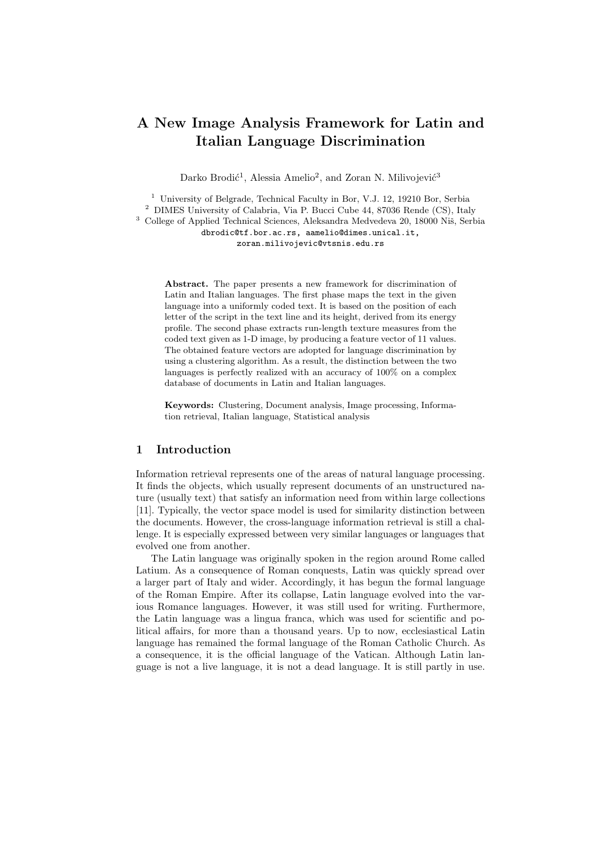# A New Image Analysis Framework for Latin and Italian Language Discrimination

Darko Brodić<sup>1</sup>, Alessia Amelio<sup>2</sup>, and Zoran N. Milivojević<sup>3</sup>

<sup>1</sup> University of Belgrade, Technical Faculty in Bor, V.J. 12, 19210 Bor, Serbia <sup>2</sup> DIMES University of Calabria, Via P. Bucci Cube 44, 87036 Rende (CS), Italy  $^3$  College of Applied Technical Sciences, Aleksandra Medvedeva 20, 18000 Niš, Serbia dbrodic@tf.bor.ac.rs, aamelio@dimes.unical.it, zoran.milivojevic@vtsnis.edu.rs

Abstract. The paper presents a new framework for discrimination of Latin and Italian languages. The first phase maps the text in the given language into a uniformly coded text. It is based on the position of each letter of the script in the text line and its height, derived from its energy profile. The second phase extracts run-length texture measures from the coded text given as 1-D image, by producing a feature vector of 11 values. The obtained feature vectors are adopted for language discrimination by using a clustering algorithm. As a result, the distinction between the two languages is perfectly realized with an accuracy of 100% on a complex database of documents in Latin and Italian languages.

Keywords: Clustering, Document analysis, Image processing, Information retrieval, Italian language, Statistical analysis

# 1 Introduction

Information retrieval represents one of the areas of natural language processing. It finds the objects, which usually represent documents of an unstructured nature (usually text) that satisfy an information need from within large collections [11]. Typically, the vector space model is used for similarity distinction between the documents. However, the cross-language information retrieval is still a challenge. It is especially expressed between very similar languages or languages that evolved one from another.

The Latin language was originally spoken in the region around Rome called Latium. As a consequence of Roman conquests, Latin was quickly spread over a larger part of Italy and wider. Accordingly, it has begun the formal language of the Roman Empire. After its collapse, Latin language evolved into the various Romance languages. However, it was still used for writing. Furthermore, the Latin language was a lingua franca, which was used for scientific and political affairs, for more than a thousand years. Up to now, ecclesiastical Latin language has remained the formal language of the Roman Catholic Church. As a consequence, it is the official language of the Vatican. Although Latin language is not a live language, it is not a dead language. It is still partly in use.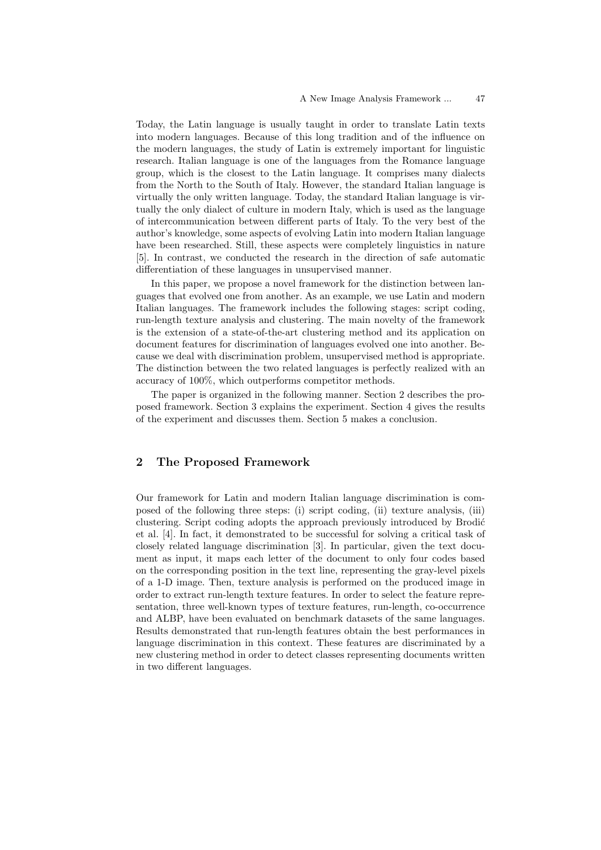Today, the Latin language is usually taught in order to translate Latin texts into modern languages. Because of this long tradition and of the influence on the modern languages, the study of Latin is extremely important for linguistic research. Italian language is one of the languages from the Romance language group, which is the closest to the Latin language. It comprises many dialects from the North to the South of Italy. However, the standard Italian language is virtually the only written language. Today, the standard Italian language is virtually the only dialect of culture in modern Italy, which is used as the language of intercommunication between different parts of Italy. To the very best of the author's knowledge, some aspects of evolving Latin into modern Italian language have been researched. Still, these aspects were completely linguistics in nature [5]. In contrast, we conducted the research in the direction of safe automatic differentiation of these languages in unsupervised manner.

In this paper, we propose a novel framework for the distinction between languages that evolved one from another. As an example, we use Latin and modern Italian languages. The framework includes the following stages: script coding, run-length texture analysis and clustering. The main novelty of the framework is the extension of a state-of-the-art clustering method and its application on document features for discrimination of languages evolved one into another. Because we deal with discrimination problem, unsupervised method is appropriate. The distinction between the two related languages is perfectly realized with an accuracy of 100%, which outperforms competitor methods.

The paper is organized in the following manner. Section 2 describes the proposed framework. Section 3 explains the experiment. Section 4 gives the results of the experiment and discusses them. Section 5 makes a conclusion.

# 2 The Proposed Framework

Our framework for Latin and modern Italian language discrimination is composed of the following three steps: (i) script coding, (ii) texture analysis, (iii) clustering. Script coding adopts the approach previously introduced by Brodić et al. [4]. In fact, it demonstrated to be successful for solving a critical task of closely related language discrimination [3]. In particular, given the text document as input, it maps each letter of the document to only four codes based on the corresponding position in the text line, representing the gray-level pixels of a 1-D image. Then, texture analysis is performed on the produced image in order to extract run-length texture features. In order to select the feature representation, three well-known types of texture features, run-length, co-occurrence and ALBP, have been evaluated on benchmark datasets of the same languages. Results demonstrated that run-length features obtain the best performances in language discrimination in this context. These features are discriminated by a new clustering method in order to detect classes representing documents written in two different languages.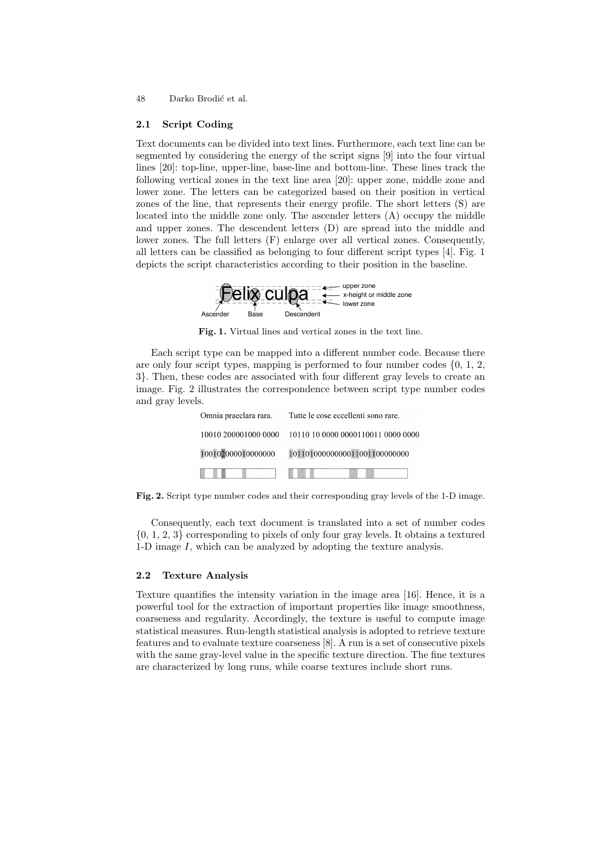48 Darko Brodić et al.

## 2.1 Script Coding

Text documents can be divided into text lines. Furthermore, each text line can be segmented by considering the energy of the script signs [9] into the four virtual lines [20]: top-line, upper-line, base-line and bottom-line. These lines track the following vertical zones in the text line area [20]: upper zone, middle zone and lower zone. The letters can be categorized based on their position in vertical zones of the line, that represents their energy profile. The short letters (S) are located into the middle zone only. The ascender letters (A) occupy the middle and upper zones. The descendent letters (D) are spread into the middle and lower zones. The full letters (F) enlarge over all vertical zones. Consequently, all letters can be classified as belonging to four different script types [4]. Fig. 1 depicts the script characteristics according to their position in the baseline.



Fig. 1. Virtual lines and vertical zones in the text line.

Each script type can be mapped into a different number code. Because there are only four script types, mapping is performed to four number codes  $\{0, 1, 2, \ldots\}$ 3}. Then, these codes are associated with four different gray levels to create an image. Fig. 2 illustrates the correspondence between script type number codes and gray levels.

| Omnia praeclara rara. | Tutte le cose eccellenti sono rare. |
|-----------------------|-------------------------------------|
| 10010 200001000 0000  | 10110 10 0000 0000110011 0000 0000  |
| 100102000010000000    | 101101000000000110011000000000      |
|                       |                                     |

Fig. 2. Script type number codes and their corresponding gray levels of the 1-D image.

Consequently, each text document is translated into a set of number codes  $\{0, 1, 2, 3\}$  corresponding to pixels of only four gray levels. It obtains a textured 1-D image  $I$ , which can be analyzed by adopting the texture analysis.

#### 2.2 Texture Analysis

Texture quantifies the intensity variation in the image area [16]. Hence, it is a powerful tool for the extraction of important properties like image smoothness, coarseness and regularity. Accordingly, the texture is useful to compute image statistical measures. Run-length statistical analysis is adopted to retrieve texture features and to evaluate texture coarseness [8]. A run is a set of consecutive pixels with the same gray-level value in the specific texture direction. The fine textures are characterized by long runs, while coarse textures include short runs.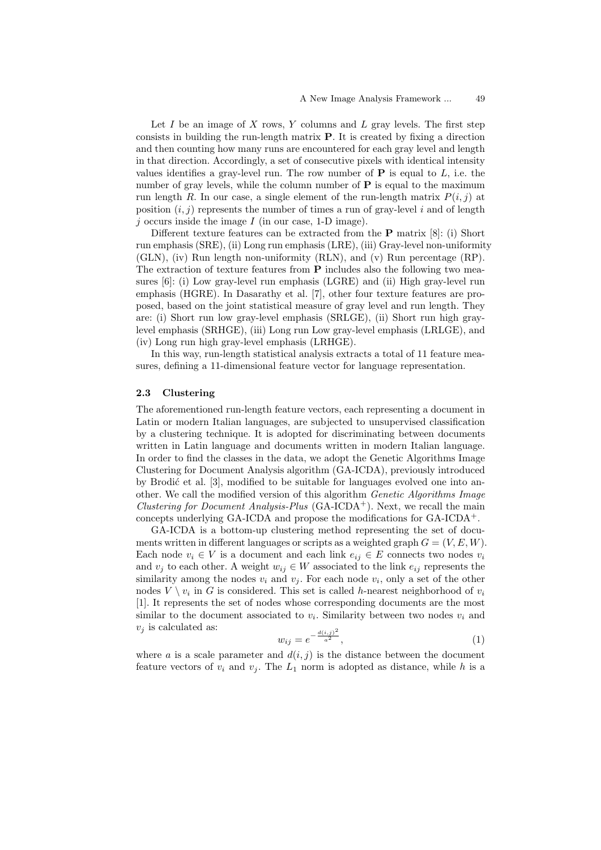Let I be an image of X rows, Y columns and L gray levels. The first step consists in building the run-length matrix P. It is created by fixing a direction and then counting how many runs are encountered for each gray level and length in that direction. Accordingly, a set of consecutive pixels with identical intensity values identifies a gray-level run. The row number of  $P$  is equal to  $L$ , i.e. the number of gray levels, while the column number of  $P$  is equal to the maximum run length R. In our case, a single element of the run-length matrix  $P(i, j)$  at position  $(i, j)$  represents the number of times a run of gray-level i and of length  $j$  occurs inside the image  $I$  (in our case, 1-D image).

Different texture features can be extracted from the P matrix [8]: (i) Short run emphasis (SRE), (ii) Long run emphasis (LRE), (iii) Gray-level non-uniformity (GLN), (iv) Run length non-uniformity (RLN), and (v) Run percentage (RP). The extraction of texture features from P includes also the following two measures [6]: (i) Low gray-level run emphasis (LGRE) and (ii) High gray-level run emphasis (HGRE). In Dasarathy et al. [7], other four texture features are proposed, based on the joint statistical measure of gray level and run length. They are: (i) Short run low gray-level emphasis (SRLGE), (ii) Short run high graylevel emphasis (SRHGE), (iii) Long run Low gray-level emphasis (LRLGE), and (iv) Long run high gray-level emphasis (LRHGE).

In this way, run-length statistical analysis extracts a total of 11 feature measures, defining a 11-dimensional feature vector for language representation.

## 2.3 Clustering

The aforementioned run-length feature vectors, each representing a document in Latin or modern Italian languages, are subjected to unsupervised classification by a clustering technique. It is adopted for discriminating between documents written in Latin language and documents written in modern Italian language. In order to find the classes in the data, we adopt the Genetic Algorithms Image Clustering for Document Analysis algorithm (GA-ICDA), previously introduced by Brodić et al. [3], modified to be suitable for languages evolved one into another. We call the modified version of this algorithm Genetic Algorithms Image *Clustering for Document Analysis-Plus* (GA-ICDA<sup>+</sup>). Next, we recall the main concepts underlying GA-ICDA and propose the modifications for GA-ICDA+.

GA-ICDA is a bottom-up clustering method representing the set of documents written in different languages or scripts as a weighted graph  $G = (V, E, W)$ . Each node  $v_i \in V$  is a document and each link  $e_{ij} \in E$  connects two nodes  $v_i$ and  $v_j$  to each other. A weight  $w_{ij} \in W$  associated to the link  $e_{ij}$  represents the similarity among the nodes  $v_i$  and  $v_j$ . For each node  $v_i$ , only a set of the other nodes  $V \setminus v_i$  in G is considered. This set is called h-nearest neighborhood of  $v_i$ [1]. It represents the set of nodes whose corresponding documents are the most similar to the document associated to  $v_i$ . Similarity between two nodes  $v_i$  and  $v_i$  is calculated as: 2

$$
w_{ij} = e^{-\frac{d(i,j)^2}{a^2}},\tag{1}
$$

where a is a scale parameter and  $d(i, j)$  is the distance between the document feature vectors of  $v_i$  and  $v_j$ . The  $L_1$  norm is adopted as distance, while h is a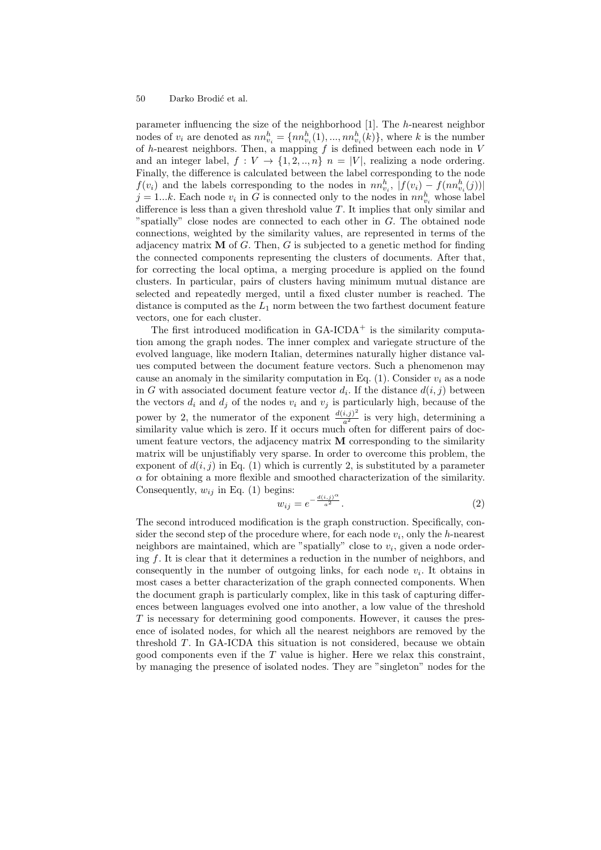#### 50 Darko Brodić et al.

parameter influencing the size of the neighborhood [1]. The h-nearest neighbor nodes of  $v_i$  are denoted as  $nn_{v_i}^h = \{nn_{v_i}^h(1), ..., nn_{v_i}^h(k)\}\$ , where k is the number of h-nearest neighbors. Then, a mapping  $f$  is defined between each node in  $V$ and an integer label,  $f: V \to \{1, 2, ..., n\}$   $n = |V|$ , realizing a node ordering. Finally, the difference is calculated between the label corresponding to the node  $f(v_i)$  and the labels corresponding to the nodes in  $nn_{v_i}^h$ ,  $|f(v_i) - f(nn_{v_i}^h(j))|$  $j = 1...k$ . Each node  $v_i$  in G is connected only to the nodes in  $nn_{v_i}^h$  whose label difference is less than a given threshold value T. It implies that only similar and "spatially" close nodes are connected to each other in G. The obtained node connections, weighted by the similarity values, are represented in terms of the adjacency matrix  $M$  of G. Then, G is subjected to a genetic method for finding the connected components representing the clusters of documents. After that, for correcting the local optima, a merging procedure is applied on the found clusters. In particular, pairs of clusters having minimum mutual distance are selected and repeatedly merged, until a fixed cluster number is reached. The distance is computed as the  $L_1$  norm between the two farthest document feature vectors, one for each cluster.

The first introduced modification in  $GA$ -ICDA<sup>+</sup> is the similarity computation among the graph nodes. The inner complex and variegate structure of the evolved language, like modern Italian, determines naturally higher distance values computed between the document feature vectors. Such a phenomenon may cause an anomaly in the similarity computation in Eq. (1). Consider  $v_i$  as a node in G with associated document feature vector  $d_i$ . If the distance  $d(i, j)$  between the vectors  $d_i$  and  $d_j$  of the nodes  $v_i$  and  $v_j$  is particularly high, because of the power by 2, the numerator of the exponent  $\frac{d(i,j)^2}{a^2}$  is very high, determining a similarity value which is zero. If it occurs much often for different pairs of document feature vectors, the adjacency matrix  $\bf{M}$  corresponding to the similarity matrix will be unjustifiably very sparse. In order to overcome this problem, the exponent of  $d(i, j)$  in Eq. (1) which is currently 2, is substituted by a parameter  $\alpha$  for obtaining a more flexible and smoothed characterization of the similarity. Consequently,  $w_{ij}$  in Eq. (1) begins:

$$
w_{ij} = e^{-\frac{d(i,j)^{\alpha}}{a^2}}.
$$
\n
$$
(2)
$$

The second introduced modification is the graph construction. Specifically, consider the second step of the procedure where, for each node  $v_i$ , only the h-nearest neighbors are maintained, which are "spatially" close to  $v_i$ , given a node ordering  $f$ . It is clear that it determines a reduction in the number of neighbors, and consequently in the number of outgoing links, for each node  $v_i$ . It obtains in most cases a better characterization of the graph connected components. When the document graph is particularly complex, like in this task of capturing differences between languages evolved one into another, a low value of the threshold  $T$  is necessary for determining good components. However, it causes the presence of isolated nodes, for which all the nearest neighbors are removed by the threshold T. In GA-ICDA this situation is not considered, because we obtain good components even if the  $T$  value is higher. Here we relax this constraint, by managing the presence of isolated nodes. They are "singleton" nodes for the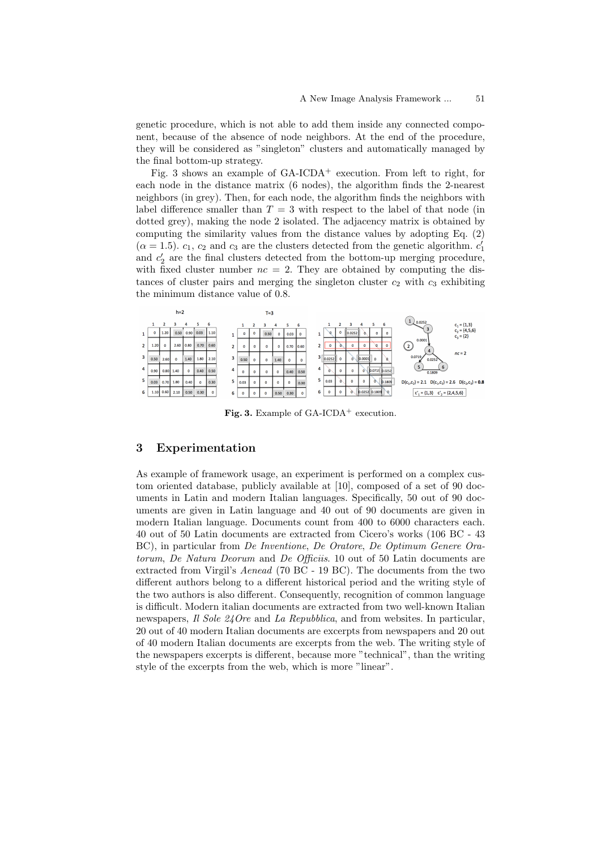genetic procedure, which is not able to add them inside any connected component, because of the absence of node neighbors. At the end of the procedure, they will be considered as "singleton" clusters and automatically managed by the final bottom-up strategy.

Fig. 3 shows an example of  $GA$ -ICDA<sup>+</sup> execution. From left to right, for each node in the distance matrix (6 nodes), the algorithm finds the 2-nearest neighbors (in grey). Then, for each node, the algorithm finds the neighbors with label difference smaller than  $T = 3$  with respect to the label of that node (in dotted grey), making the node 2 isolated. The adjacency matrix is obtained by computing the similarity values from the distance values by adopting Eq. (2)  $(\alpha = 1.5)$ .  $c_1$ ,  $c_2$  and  $c_3$  are the clusters detected from the genetic algorithm.  $c'_1$ and  $c'_2$  are the final clusters detected from the bottom-up merging procedure, with fixed cluster number  $nc = 2$ . They are obtained by computing the distances of cluster pairs and merging the singleton cluster  $c_2$  with  $c_3$  exhibiting the minimum distance value of 0.8.



Fig. 3. Example of GA-ICDA<sup>+</sup> execution.

# 3 Experimentation

As example of framework usage, an experiment is performed on a complex custom oriented database, publicly available at [10], composed of a set of 90 documents in Latin and modern Italian languages. Specifically, 50 out of 90 documents are given in Latin language and 40 out of 90 documents are given in modern Italian language. Documents count from 400 to 6000 characters each. 40 out of 50 Latin documents are extracted from Cicero's works (106 BC - 43 BC), in particular from De Inventione, De Oratore, De Optimum Genere Oratorum, De Natura Deorum and De Officiis. 10 out of 50 Latin documents are extracted from Virgil's Aenead (70 BC - 19 BC). The documents from the two different authors belong to a different historical period and the writing style of the two authors is also different. Consequently, recognition of common language is difficult. Modern italian documents are extracted from two well-known Italian newspapers, Il Sole 24 Ore and La Repubblica, and from websites. In particular, 20 out of 40 modern Italian documents are excerpts from newspapers and 20 out of 40 modern Italian documents are excerpts from the web. The writing style of the newspapers excerpts is different, because more "technical", than the writing style of the excerpts from the web, which is more "linear".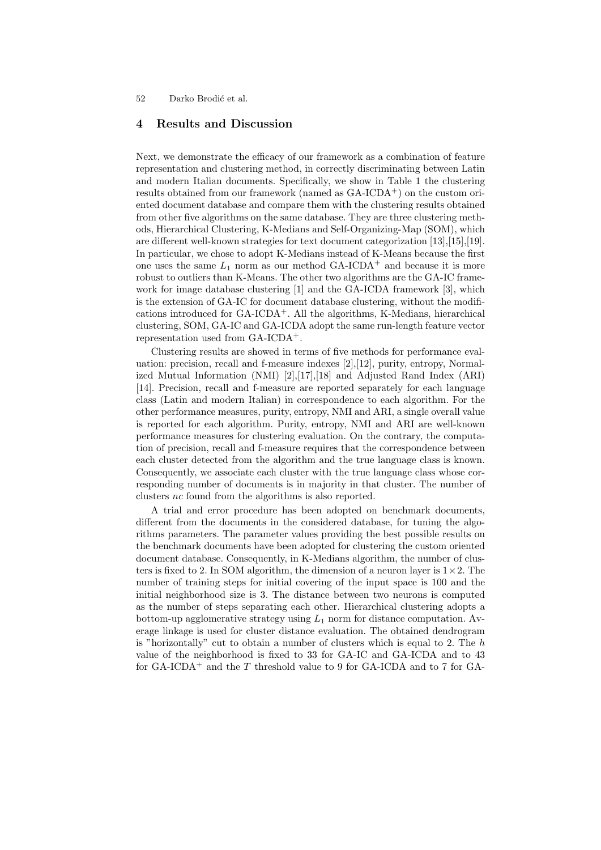52 Darko Brodić et al.

## 4 Results and Discussion

Next, we demonstrate the efficacy of our framework as a combination of feature representation and clustering method, in correctly discriminating between Latin and modern Italian documents. Specifically, we show in Table 1 the clustering results obtained from our framework (named as  $GA$ -ICDA<sup>+</sup>) on the custom oriented document database and compare them with the clustering results obtained from other five algorithms on the same database. They are three clustering methods, Hierarchical Clustering, K-Medians and Self-Organizing-Map (SOM), which are different well-known strategies for text document categorization [13],[15],[19]. In particular, we chose to adopt K-Medians instead of K-Means because the first one uses the same  $L_1$  norm as our method GA-ICDA<sup>+</sup> and because it is more robust to outliers than K-Means. The other two algorithms are the GA-IC framework for image database clustering [1] and the GA-ICDA framework [3], which is the extension of GA-IC for document database clustering, without the modifications introduced for  $GA$ -ICDA<sup>+</sup>. All the algorithms, K-Medians, hierarchical clustering, SOM, GA-IC and GA-ICDA adopt the same run-length feature vector representation used from GA-ICDA<sup>+</sup>.

Clustering results are showed in terms of five methods for performance evaluation: precision, recall and f-measure indexes [2],[12], purity, entropy, Normalized Mutual Information (NMI) [2],[17],[18] and Adjusted Rand Index (ARI) [14]. Precision, recall and f-measure are reported separately for each language class (Latin and modern Italian) in correspondence to each algorithm. For the other performance measures, purity, entropy, NMI and ARI, a single overall value is reported for each algorithm. Purity, entropy, NMI and ARI are well-known performance measures for clustering evaluation. On the contrary, the computation of precision, recall and f-measure requires that the correspondence between each cluster detected from the algorithm and the true language class is known. Consequently, we associate each cluster with the true language class whose corresponding number of documents is in majority in that cluster. The number of clusters nc found from the algorithms is also reported.

A trial and error procedure has been adopted on benchmark documents, different from the documents in the considered database, for tuning the algorithms parameters. The parameter values providing the best possible results on the benchmark documents have been adopted for clustering the custom oriented document database. Consequently, in K-Medians algorithm, the number of clusters is fixed to 2. In SOM algorithm, the dimension of a neuron layer is  $1 \times 2$ . The number of training steps for initial covering of the input space is 100 and the initial neighborhood size is 3. The distance between two neurons is computed as the number of steps separating each other. Hierarchical clustering adopts a bottom-up agglomerative strategy using  $L_1$  norm for distance computation. Average linkage is used for cluster distance evaluation. The obtained dendrogram is "horizontally" cut to obtain a number of clusters which is equal to 2. The  $h$ value of the neighborhood is fixed to 33 for GA-IC and GA-ICDA and to 43 for GA-ICDA<sup>+</sup> and the  $T$  threshold value to 9 for GA-ICDA and to 7 for GA-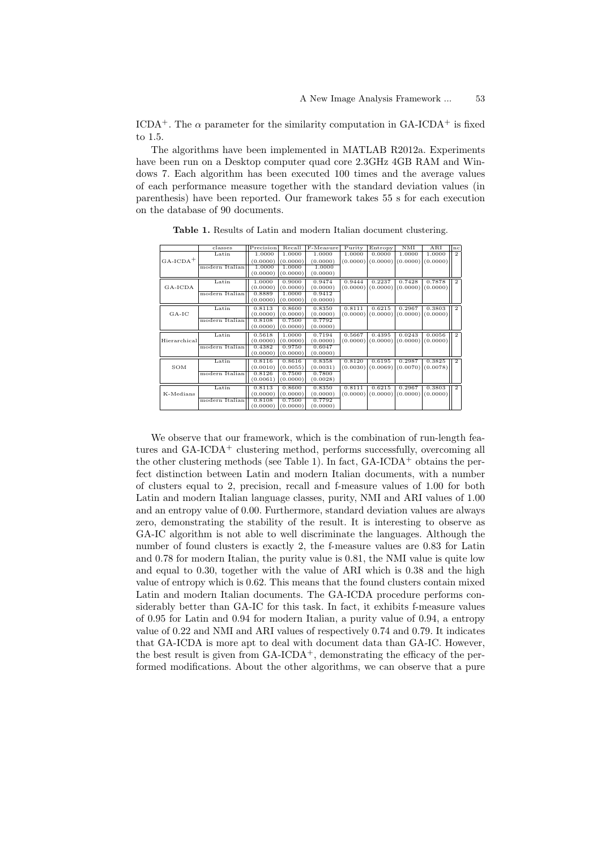ICDA<sup>+</sup>. The  $\alpha$  parameter for the similarity computation in GA-ICDA<sup>+</sup> is fixed to 1.5.

The algorithms have been implemented in MATLAB R2012a. Experiments have been run on a Desktop computer quad core 2.3GHz 4GB RAM and Windows 7. Each algorithm has been executed 100 times and the average values of each performance measure together with the standard deviation values (in parenthesis) have been reported. Our framework takes 55 s for each execution on the database of 90 documents.

| classes        | Precision | Recall   | F-Measure | Purity   | Entropy  | NMI      | ARI      | nc             |
|----------------|-----------|----------|-----------|----------|----------|----------|----------|----------------|
| Latin          | 1.0000    | 1.0000   | 1.0000    | 1.0000   | 0.0000   | 1.0000   | 1.0000   | $\overline{2}$ |
|                | (0.0000)  | (0.0000) | (0.0000)  |          | (0.0000) | (0.0000) | (0.0000) |                |
| modern Italian | 1.0000    | 1.0000   | 1.0000    |          |          |          |          |                |
|                | (0.0000)  | (0.0000) | (0.0000)  |          |          |          |          |                |
| Latin          | 1.0000    | 0.9000   | 0.9474    | 0.9444   | 0.2237   | 0.7428   | 0.7878   | $\overline{2}$ |
|                | (0.0000)  | (0.0000) | (0.0000)  | (0.0000) | (0.0000) | (0.0000) | (0.0000) |                |
| modern Italian | 0.8889    | 1.0000   | 0.9412    |          |          |          |          |                |
|                | (0.0000)  | (0.0000) | (0.0000)  |          |          |          |          |                |
| Latin          | 0.8113    | 0.8600   | 0.8350    | 0.8111   | 0.6215   | 0.2967   | 0.3803   | $\overline{2}$ |
|                | (0.0000)  | (0.0000) | (0.0000)  | (0.0000) | (0.0000) | (0.0000) | (0.0000) |                |
| modern Italian | 0.8108    | 0.7500   | 0.7792    |          |          |          |          |                |
|                | (0.0000)  | (0.0000) | (0.0000)  |          |          |          |          |                |
| Latin          | 0.5618    | 1.0000   | 0.7194    | 0.5667   | 0.4395   | 0.0243   | 0.0056   | $\overline{2}$ |
| Hierarchical   | (0.0000)  | (0.0000) | (0.0000)  | (0.0000) | (0.0000) | (0.0000) | (0.0000) |                |
| modern Italian | 0.4382    | 0.9750   | 0.6047    |          |          |          |          |                |
|                | (0.0000)  | (0.0000) | (0.0000)  |          |          |          |          |                |
| Latin          | 0.8116    | 0.8616   | 0.8358    | 0.8120   | 0.6195   | 0.2987   | 0.3825   | $\overline{2}$ |
|                | (0.0010)  | (0.0055) | (0.0031)  | (0.0030) | (0.0069) | (0.0070) | (0.0078) |                |
| modern Italian | 0.8126    | 0.7500   | 0.7800    |          |          |          |          |                |
|                | (0.0061)  | (0.0000) | (0.0028)  |          |          |          |          |                |
| Latin          | 0.8113    | 0.8600   | 0.8350    | 0.8111   | 0.6215   | 0.2967   | 0.3803   | $\overline{2}$ |
|                | (0.0000)  | (0.0000) | (0.0000)  | (0.0000) | (0.0000) | (0.0000) | (0.0000) |                |
| modern Italian | 0.8108    | 0.7500   | 0.7792    |          |          |          |          |                |
|                | (0.0000)  | (0.0000) | (0.0000)  |          |          |          |          |                |
|                |           |          |           |          |          | (0.0000) |          |                |

Table 1. Results of Latin and modern Italian document clustering.

We observe that our framework, which is the combination of run-length features and  $GA$ -ICD $A$ <sup>+</sup> clustering method, performs successfully, overcoming all the other clustering methods (see Table 1). In fact,  $GA$ -ICDA<sup>+</sup> obtains the perfect distinction between Latin and modern Italian documents, with a number of clusters equal to 2, precision, recall and f-measure values of 1.00 for both Latin and modern Italian language classes, purity, NMI and ARI values of 1.00 and an entropy value of 0.00. Furthermore, standard deviation values are always zero, demonstrating the stability of the result. It is interesting to observe as GA-IC algorithm is not able to well discriminate the languages. Although the number of found clusters is exactly 2, the f-measure values are 0.83 for Latin and 0.78 for modern Italian, the purity value is 0.81, the NMI value is quite low and equal to 0.30, together with the value of ARI which is 0.38 and the high value of entropy which is 0.62. This means that the found clusters contain mixed Latin and modern Italian documents. The GA-ICDA procedure performs considerably better than GA-IC for this task. In fact, it exhibits f-measure values of 0.95 for Latin and 0.94 for modern Italian, a purity value of 0.94, a entropy value of 0.22 and NMI and ARI values of respectively 0.74 and 0.79. It indicates that GA-ICDA is more apt to deal with document data than GA-IC. However, the best result is given from  $GA$ -ICDA<sup>+</sup>, demonstrating the efficacy of the performed modifications. About the other algorithms, we can observe that a pure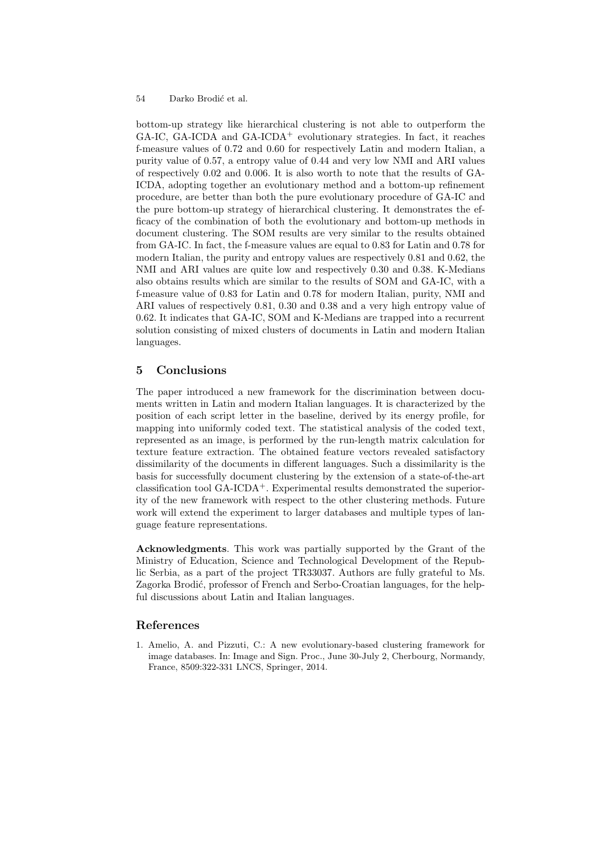bottom-up strategy like hierarchical clustering is not able to outperform the GA-IC, GA-ICDA and GA-ICDA<sup>+</sup> evolutionary strategies. In fact, it reaches f-measure values of 0.72 and 0.60 for respectively Latin and modern Italian, a purity value of 0.57, a entropy value of 0.44 and very low NMI and ARI values of respectively 0.02 and 0.006. It is also worth to note that the results of GA-ICDA, adopting together an evolutionary method and a bottom-up refinement procedure, are better than both the pure evolutionary procedure of GA-IC and the pure bottom-up strategy of hierarchical clustering. It demonstrates the efficacy of the combination of both the evolutionary and bottom-up methods in document clustering. The SOM results are very similar to the results obtained from GA-IC. In fact, the f-measure values are equal to 0.83 for Latin and 0.78 for modern Italian, the purity and entropy values are respectively 0.81 and 0.62, the NMI and ARI values are quite low and respectively 0.30 and 0.38. K-Medians also obtains results which are similar to the results of SOM and GA-IC, with a f-measure value of 0.83 for Latin and 0.78 for modern Italian, purity, NMI and ARI values of respectively 0.81, 0.30 and 0.38 and a very high entropy value of 0.62. It indicates that GA-IC, SOM and K-Medians are trapped into a recurrent solution consisting of mixed clusters of documents in Latin and modern Italian languages.

# 5 Conclusions

The paper introduced a new framework for the discrimination between documents written in Latin and modern Italian languages. It is characterized by the position of each script letter in the baseline, derived by its energy profile, for mapping into uniformly coded text. The statistical analysis of the coded text, represented as an image, is performed by the run-length matrix calculation for texture feature extraction. The obtained feature vectors revealed satisfactory dissimilarity of the documents in different languages. Such a dissimilarity is the basis for successfully document clustering by the extension of a state-of-the-art classification tool GA-ICDA+. Experimental results demonstrated the superiority of the new framework with respect to the other clustering methods. Future work will extend the experiment to larger databases and multiple types of language feature representations.

Acknowledgments. This work was partially supported by the Grant of the Ministry of Education, Science and Technological Development of the Republic Serbia, as a part of the project TR33037. Authors are fully grateful to Ms. Zagorka Brodić, professor of French and Serbo-Croatian languages, for the helpful discussions about Latin and Italian languages.

## References

1. Amelio, A. and Pizzuti, C.: A new evolutionary-based clustering framework for image databases. In: Image and Sign. Proc., June 30-July 2, Cherbourg, Normandy, France, 8509:322-331 LNCS, Springer, 2014.